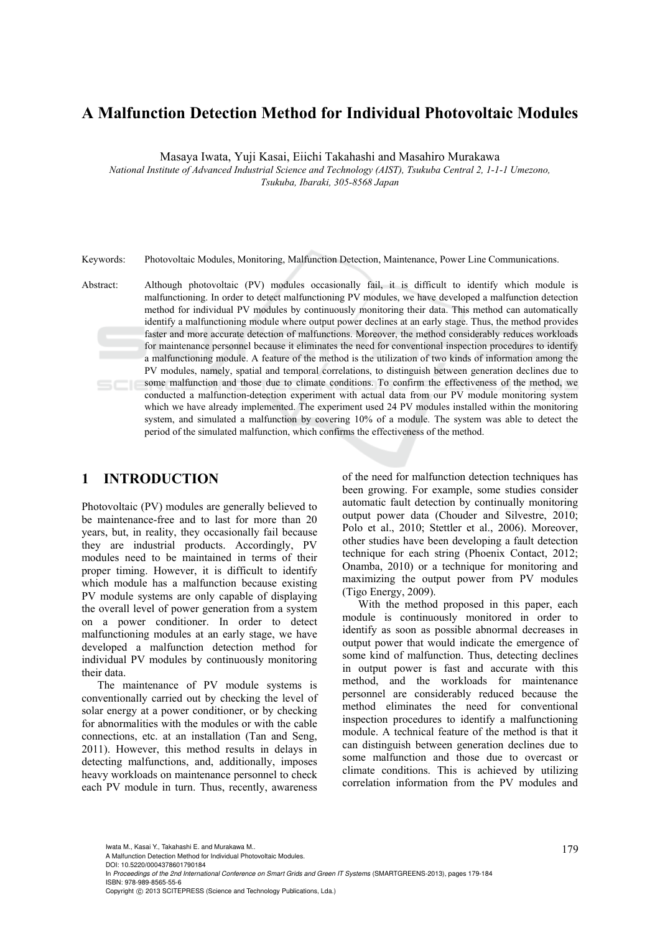# **A Malfunction Detection Method for Individual Photovoltaic Modules**

Masaya Iwata, Yuji Kasai, Eiichi Takahashi and Masahiro Murakawa

*National Institute of Advanced Industrial Science and Technology (AIST), Tsukuba Central 2, 1-1-1 Umezono, Tsukuba, Ibaraki, 305-8568 Japan* 

Keywords: Photovoltaic Modules, Monitoring, Malfunction Detection, Maintenance, Power Line Communications.

Abstract: Although photovoltaic (PV) modules occasionally fail, it is difficult to identify which module is malfunctioning. In order to detect malfunctioning PV modules, we have developed a malfunction detection method for individual PV modules by continuously monitoring their data. This method can automatically identify a malfunctioning module where output power declines at an early stage. Thus, the method provides faster and more accurate detection of malfunctions. Moreover, the method considerably reduces workloads for maintenance personnel because it eliminates the need for conventional inspection procedures to identify a malfunctioning module. A feature of the method is the utilization of two kinds of information among the PV modules, namely, spatial and temporal correlations, to distinguish between generation declines due to some malfunction and those due to climate conditions. To confirm the effectiveness of the method, we conducted a malfunction-detection experiment with actual data from our PV module monitoring system which we have already implemented. The experiment used 24 PV modules installed within the monitoring system, and simulated a malfunction by covering 10% of a module. The system was able to detect the period of the simulated malfunction, which confirms the effectiveness of the method.

## **1 INTRODUCTION**

Photovoltaic (PV) modules are generally believed to be maintenance-free and to last for more than 20 years, but, in reality, they occasionally fail because they are industrial products. Accordingly, PV modules need to be maintained in terms of their proper timing. However, it is difficult to identify which module has a malfunction because existing PV module systems are only capable of displaying the overall level of power generation from a system on a power conditioner. In order to detect malfunctioning modules at an early stage, we have developed a malfunction detection method for individual PV modules by continuously monitoring their data.

The maintenance of PV module systems is conventionally carried out by checking the level of solar energy at a power conditioner, or by checking for abnormalities with the modules or with the cable connections, etc. at an installation (Tan and Seng, 2011). However, this method results in delays in detecting malfunctions, and, additionally, imposes heavy workloads on maintenance personnel to check each PV module in turn. Thus, recently, awareness

of the need for malfunction detection techniques has been growing. For example, some studies consider automatic fault detection by continually monitoring output power data (Chouder and Silvestre, 2010; Polo et al., 2010; Stettler et al., 2006). Moreover, other studies have been developing a fault detection technique for each string (Phoenix Contact, 2012; Onamba, 2010) or a technique for monitoring and maximizing the output power from PV modules (Tigo Energy, 2009).

With the method proposed in this paper, each module is continuously monitored in order to identify as soon as possible abnormal decreases in output power that would indicate the emergence of some kind of malfunction. Thus, detecting declines in output power is fast and accurate with this method, and the workloads for maintenance personnel are considerably reduced because the method eliminates the need for conventional inspection procedures to identify a malfunctioning module. A technical feature of the method is that it can distinguish between generation declines due to some malfunction and those due to overcast or climate conditions. This is achieved by utilizing correlation information from the PV modules and

lwata M., Kasai Y., Takahashi E. and Murakawa M..<br>A Malfunction Detection Method for Individual Photovoltaic Modules.

DOI: 10.5220/0004378601790184

In *Proceedings of the 2nd International Conference on Smart Grids and Green IT Systems* (SMARTGREENS-2013), pages 179-184 ISBN: 978-989-8565-55-6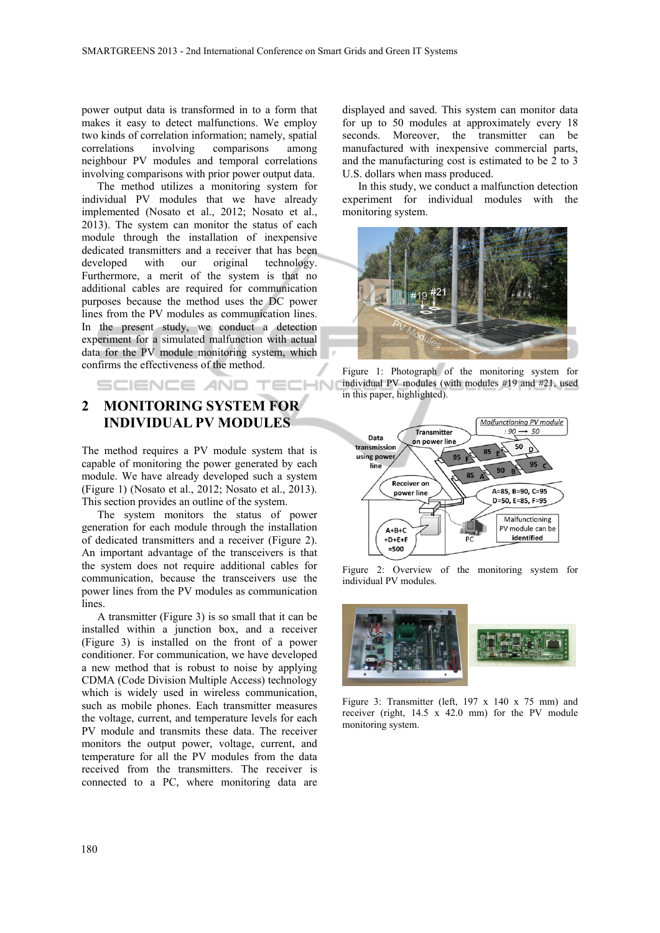$\overline{\mathcal{M}}$ 

power output data is transformed in to a form that makes it easy to detect malfunctions. We employ two kinds of correlation information; namely, spatial correlations involving comparisons among neighbour PV modules and temporal correlations involving comparisons with prior power output data.

The method utilizes a monitoring system for individual PV modules that we have already implemented (Nosato et al., 2012; Nosato et al., 2013). The system can monitor the status of each module through the installation of inexpensive dedicated transmitters and a receiver that has been developed with our original technology. Furthermore, a merit of the system is that no additional cables are required for communication purposes because the method uses the DC power lines from the PV modules as communication lines. In the present study, we conduct a detection experiment for a simulated malfunction with actual data for the PV module monitoring system, which confirms the effectiveness of the method.

## **2 MONITORING SYSTEM FOR INDIVIDUAL PV MODULES**

SCIENCE AND TECH

The method requires a PV module system that is capable of monitoring the power generated by each module. We have already developed such a system (Figure 1) (Nosato et al., 2012; Nosato et al., 2013). This section provides an outline of the system.

The system monitors the status of power generation for each module through the installation of dedicated transmitters and a receiver (Figure 2). An important advantage of the transceivers is that the system does not require additional cables for communication, because the transceivers use the power lines from the PV modules as communication lines.

A transmitter (Figure 3) is so small that it can be installed within a junction box, and a receiver (Figure 3) is installed on the front of a power conditioner. For communication, we have developed a new method that is robust to noise by applying CDMA (Code Division Multiple Access) technology which is widely used in wireless communication, such as mobile phones. Each transmitter measures the voltage, current, and temperature levels for each PV module and transmits these data. The receiver monitors the output power, voltage, current, and temperature for all the PV modules from the data received from the transmitters. The receiver is connected to a PC, where monitoring data are

displayed and saved. This system can monitor data for up to 50 modules at approximately every 18 seconds. Moreover, the transmitter can be manufactured with inexpensive commercial parts, and the manufacturing cost is estimated to be 2 to 3 U.S. dollars when mass produced.

In this study, we conduct a malfunction detection experiment for individual modules with the monitoring system.



Figure 1: Photograph of the monitoring system for individual PV modules (with modules #19 and #21, used in this paper, highlighted).



Figure 2: Overview of the monitoring system for individual PV modules.



Figure 3: Transmitter (left, 197 x 140 x 75 mm) and receiver (right, 14.5 x 42.0 mm) for the PV module monitoring system.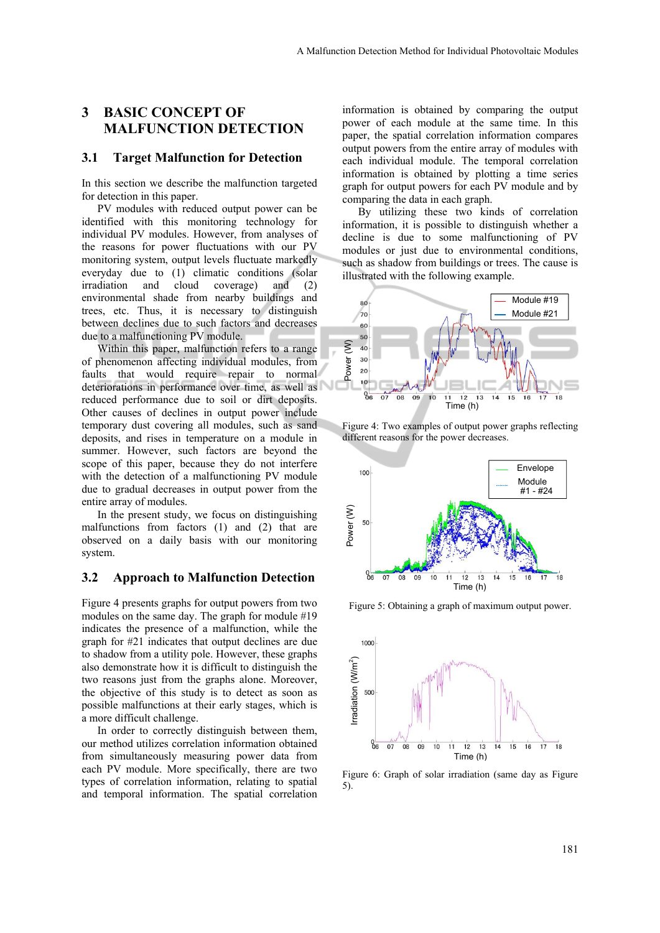## **3 BASIC CONCEPT OF MALFUNCTION DETECTION**

#### **3.1 Target Malfunction for Detection**

In this section we describe the malfunction targeted for detection in this paper.

PV modules with reduced output power can be identified with this monitoring technology for individual PV modules. However, from analyses of the reasons for power fluctuations with our PV monitoring system, output levels fluctuate markedly everyday due to (1) climatic conditions (solar irradiation and cloud coverage) and (2) environmental shade from nearby buildings and trees, etc. Thus, it is necessary to distinguish between declines due to such factors and decreases due to a malfunctioning PV module.

Within this paper, malfunction refers to a range of phenomenon affecting individual modules, from faults that would require repair to normal deteriorations in performance over time, as well as reduced performance due to soil or dirt deposits. Other causes of declines in output power include temporary dust covering all modules, such as sand deposits, and rises in temperature on a module in summer. However, such factors are beyond the scope of this paper, because they do not interfere with the detection of a malfunctioning PV module due to gradual decreases in output power from the entire array of modules.

In the present study, we focus on distinguishing malfunctions from factors (1) and (2) that are observed on a daily basis with our monitoring system.

#### **3.2 Approach to Malfunction Detection**

Figure 4 presents graphs for output powers from two modules on the same day. The graph for module #19 indicates the presence of a malfunction, while the graph for #21 indicates that output declines are due to shadow from a utility pole. However, these graphs also demonstrate how it is difficult to distinguish the two reasons just from the graphs alone. Moreover, the objective of this study is to detect as soon as possible malfunctions at their early stages, which is a more difficult challenge.

In order to correctly distinguish between them, our method utilizes correlation information obtained from simultaneously measuring power data from each PV module. More specifically, there are two types of correlation information, relating to spatial and temporal information. The spatial correlation

information is obtained by comparing the output power of each module at the same time. In this paper, the spatial correlation information compares output powers from the entire array of modules with each individual module. The temporal correlation information is obtained by plotting a time series graph for output powers for each PV module and by comparing the data in each graph.

By utilizing these two kinds of correlation information, it is possible to distinguish whether a decline is due to some malfunctioning of PV modules or just due to environmental conditions, such as shadow from buildings or trees. The cause is illustrated with the following example.



Figure 4: Two examples of output power graphs reflecting different reasons for the power decreases.



Figure 5: Obtaining a graph of maximum output power.



Figure 6: Graph of solar irradiation (same day as Figure  $5)$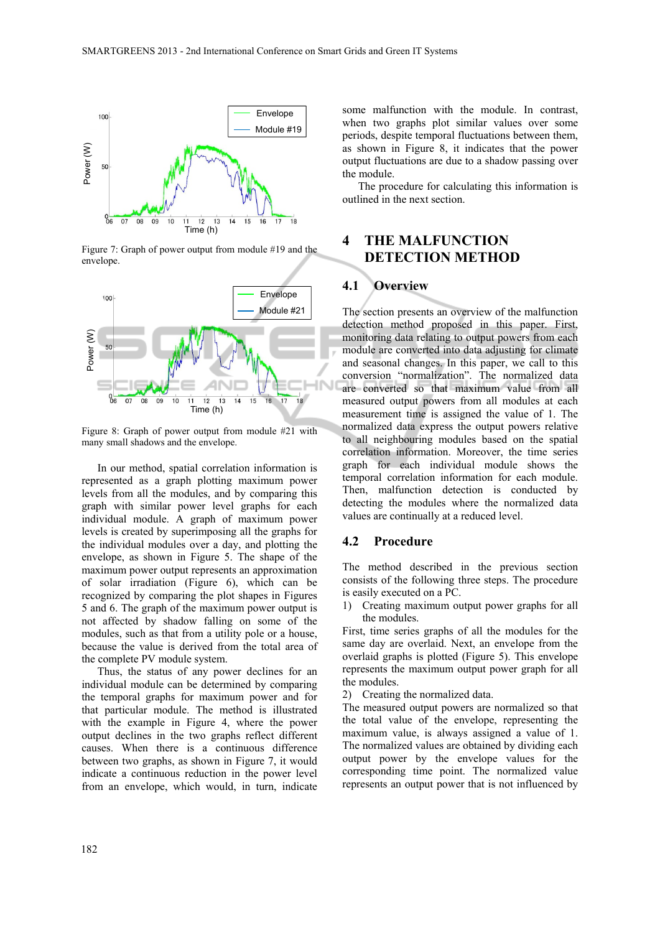

Figure 7: Graph of power output from module #19 and the envelope.



Figure 8: Graph of power output from module #21 with many small shadows and the envelope.

In our method, spatial correlation information is represented as a graph plotting maximum power levels from all the modules, and by comparing this graph with similar power level graphs for each individual module. A graph of maximum power levels is created by superimposing all the graphs for the individual modules over a day, and plotting the envelope, as shown in Figure 5. The shape of the maximum power output represents an approximation of solar irradiation (Figure 6), which can be recognized by comparing the plot shapes in Figures 5 and 6. The graph of the maximum power output is not affected by shadow falling on some of the modules, such as that from a utility pole or a house, because the value is derived from the total area of the complete PV module system.

Thus, the status of any power declines for an individual module can be determined by comparing the temporal graphs for maximum power and for that particular module. The method is illustrated with the example in Figure 4, where the power output declines in the two graphs reflect different causes. When there is a continuous difference between two graphs, as shown in Figure 7, it would indicate a continuous reduction in the power level from an envelope, which would, in turn, indicate

some malfunction with the module. In contrast, when two graphs plot similar values over some periods, despite temporal fluctuations between them, as shown in Figure 8, it indicates that the power output fluctuations are due to a shadow passing over the module.

The procedure for calculating this information is outlined in the next section.

## **4 THE MALFUNCTION DETECTION METHOD**

#### **4.1 Overview**

The section presents an overview of the malfunction detection method proposed in this paper. First, monitoring data relating to output powers from each module are converted into data adjusting for climate and seasonal changes. In this paper, we call to this conversion "normalization". The normalized data are converted so that maximum value from all measured output powers from all modules at each measurement time is assigned the value of 1. The normalized data express the output powers relative to all neighbouring modules based on the spatial correlation information. Moreover, the time series graph for each individual module shows the temporal correlation information for each module. Then, malfunction detection is conducted by detecting the modules where the normalized data values are continually at a reduced level.

#### **4.2 Procedure**

The method described in the previous section consists of the following three steps. The procedure is easily executed on a PC.

1) Creating maximum output power graphs for all the modules.

First, time series graphs of all the modules for the same day are overlaid. Next, an envelope from the overlaid graphs is plotted (Figure 5). This envelope represents the maximum output power graph for all the modules.

2) Creating the normalized data.

The measured output powers are normalized so that the total value of the envelope, representing the maximum value, is always assigned a value of 1. The normalized values are obtained by dividing each output power by the envelope values for the corresponding time point. The normalized value represents an output power that is not influenced by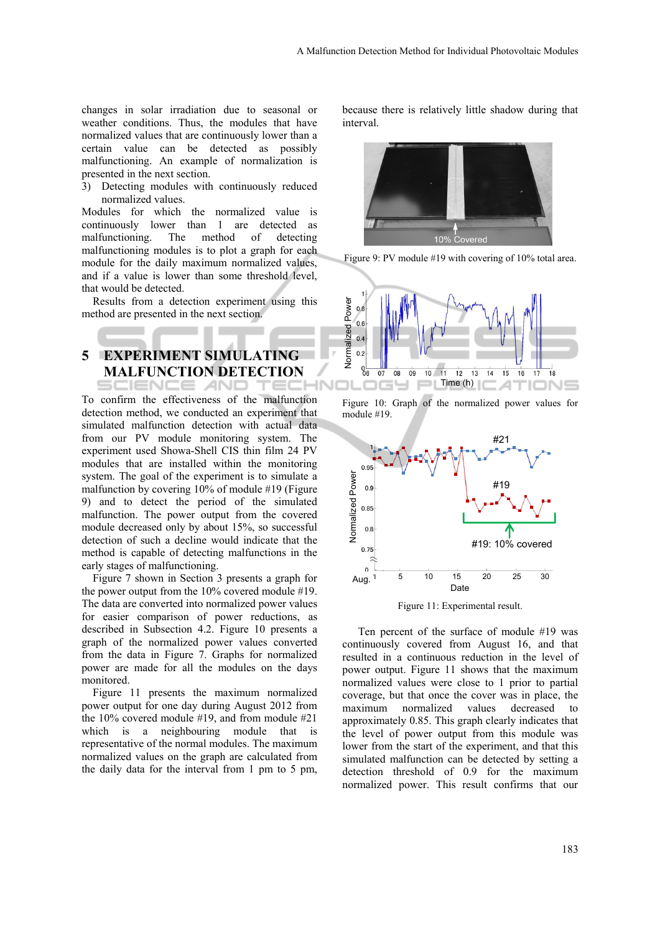changes in solar irradiation due to seasonal or weather conditions. Thus, the modules that have normalized values that are continuously lower than a certain value can be detected as possibly malfunctioning. An example of normalization is presented in the next section.

3) Detecting modules with continuously reduced normalized values.

Modules for which the normalized value is continuously lower than 1 are detected as malfunctioning. The method of detecting malfunctioning modules is to plot a graph for each module for the daily maximum normalized values, and if a value is lower than some threshold level, that would be detected.

Results from a detection experiment using this method are presented in the next section.

# **5 EXPERIMENT SIMULATING MALFUNCTION DETECTION**

To confirm the effectiveness of the malfunction detection method, we conducted an experiment that simulated malfunction detection with actual data from our PV module monitoring system. The experiment used Showa-Shell CIS thin film 24 PV modules that are installed within the monitoring system. The goal of the experiment is to simulate a malfunction by covering 10% of module #19 (Figure 9) and to detect the period of the simulated malfunction. The power output from the covered module decreased only by about 15%, so successful detection of such a decline would indicate that the method is capable of detecting malfunctions in the early stages of malfunctioning.

Figure 7 shown in Section 3 presents a graph for the power output from the 10% covered module #19. The data are converted into normalized power values for easier comparison of power reductions, as described in Subsection 4.2. Figure 10 presents a graph of the normalized power values converted from the data in Figure 7. Graphs for normalized power are made for all the modules on the days monitored.

Figure 11 presents the maximum normalized power output for one day during August 2012 from the 10% covered module #19, and from module #21 which is a neighbouring module that is representative of the normal modules. The maximum normalized values on the graph are calculated from the daily data for the interval from 1 pm to 5 pm,

because there is relatively little shadow during that interval.



Figure 9: PV module #19 with covering of 10% total area.



Figure 10: Graph of the normalized power values for module #19.



Figure 11: Experimental result.

Ten percent of the surface of module #19 was continuously covered from August 16, and that resulted in a continuous reduction in the level of power output. Figure 11 shows that the maximum normalized values were close to 1 prior to partial coverage, but that once the cover was in place, the maximum normalized values decreased to approximately 0.85. This graph clearly indicates that the level of power output from this module was lower from the start of the experiment, and that this simulated malfunction can be detected by setting a detection threshold of 0.9 for the maximum